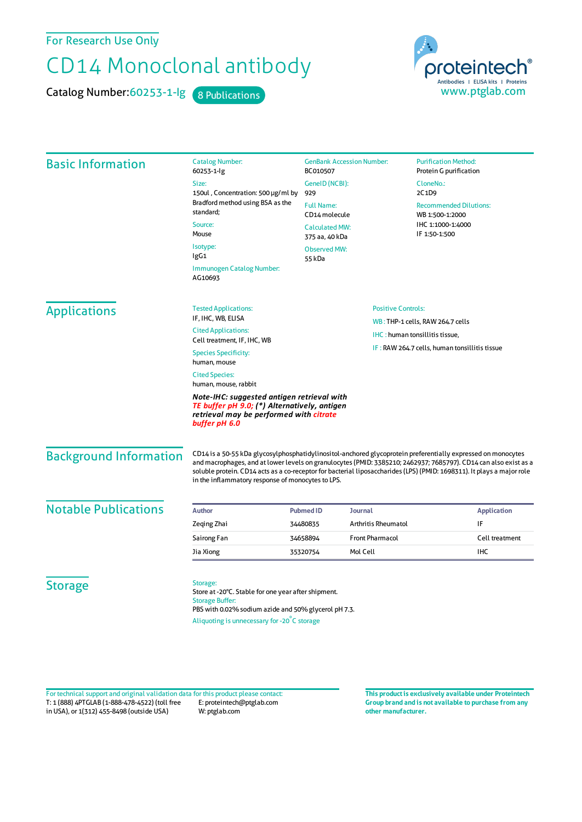For Research Use Only

## CD14 Monoclonal antibody

Catalog Number: 60253-1-lg 8 Publications

proteintech Antibodies | ELISA kits | Proteins<br>WWW.ptglab.com

| <b>Basic Information</b>                                                                                                                               | <b>Catalog Number:</b><br>60253-1-lg                                                                                                                                                                                                                                                                                                                                                                            | <b>GenBank Accession Number:</b><br>BC010507                                  | <b>Purification Method:</b><br>Protein G purification                                  |                               |
|--------------------------------------------------------------------------------------------------------------------------------------------------------|-----------------------------------------------------------------------------------------------------------------------------------------------------------------------------------------------------------------------------------------------------------------------------------------------------------------------------------------------------------------------------------------------------------------|-------------------------------------------------------------------------------|----------------------------------------------------------------------------------------|-------------------------------|
|                                                                                                                                                        | Size:<br>150ul, Concentration: 500 µg/ml by<br>Bradford method using BSA as the<br>standard;<br>Source:<br>Mouse<br>Isotype:<br>lgG1                                                                                                                                                                                                                                                                            | GenelD (NCBI):                                                                | CloneNo.:                                                                              |                               |
|                                                                                                                                                        |                                                                                                                                                                                                                                                                                                                                                                                                                 | 929                                                                           | 2C1D9                                                                                  |                               |
|                                                                                                                                                        |                                                                                                                                                                                                                                                                                                                                                                                                                 | <b>Full Name:</b><br>CD14 molecule<br><b>Calculated MW:</b><br>375 aa, 40 kDa | <b>Recommended Dilutions:</b><br>WB 1:500-1:2000<br>IHC 1:1000-1:4000<br>IF 1:50-1:500 |                               |
|                                                                                                                                                        |                                                                                                                                                                                                                                                                                                                                                                                                                 |                                                                               |                                                                                        | <b>Observed MW:</b><br>55 kDa |
|                                                                                                                                                        |                                                                                                                                                                                                                                                                                                                                                                                                                 | Immunogen Catalog Number:<br>AG10693                                          |                                                                                        |                               |
|                                                                                                                                                        | <b>Applications</b>                                                                                                                                                                                                                                                                                                                                                                                             | <b>Tested Applications:</b>                                                   |                                                                                        | <b>Positive Controls:</b>     |
| IF, IHC, WB, ELISA                                                                                                                                     |                                                                                                                                                                                                                                                                                                                                                                                                                 |                                                                               | WB: THP-1 cells, RAW 264.7 cells                                                       |                               |
| <b>Cited Applications:</b><br>Cell treatment, IF, IHC, WB                                                                                              |                                                                                                                                                                                                                                                                                                                                                                                                                 |                                                                               | IHC: human tonsillitis tissue,<br>IF: RAW 264.7 cells, human tonsillitis tissue        |                               |
| <b>Species Specificity:</b><br>human, mouse                                                                                                            |                                                                                                                                                                                                                                                                                                                                                                                                                 |                                                                               |                                                                                        |                               |
| <b>Cited Species:</b><br>human, mouse, rabbit                                                                                                          |                                                                                                                                                                                                                                                                                                                                                                                                                 |                                                                               |                                                                                        |                               |
| Note-IHC: suggested antigen retrieval with<br>TE buffer pH 9.0; (*) Alternatively, antigen<br>retrieval may be performed with citrate<br>buffer pH 6.0 |                                                                                                                                                                                                                                                                                                                                                                                                                 |                                                                               |                                                                                        |                               |
| <b>Background Information</b>                                                                                                                          | CD14 is a 50-55 kDa glycosylphosphatidylinositol-anchored glycoprotein preferentially expressed on monocytes<br>and macrophages, and at lower levels on granulocytes (PMID: 3385210; 2462937; 7685797). CD14 can also exist as a<br>soluble protein. CD14 acts as a co-receptor for bacterial liposaccharides (LPS) (PMID: 1698311). It plays a major role<br>in the inflammatory response of monocytes to LPS. |                                                                               |                                                                                        |                               |
| <b>Notable Publications</b>                                                                                                                            | <b>Author</b><br><b>Pubmed ID</b><br>Journal<br><b>Application</b>                                                                                                                                                                                                                                                                                                                                              |                                                                               |                                                                                        |                               |
|                                                                                                                                                        | Zeging Zhai                                                                                                                                                                                                                                                                                                                                                                                                     | <b>Arthritis Rheumatol</b><br>34480835                                        | IF                                                                                     |                               |
|                                                                                                                                                        | Sairong Fan                                                                                                                                                                                                                                                                                                                                                                                                     | <b>Front Pharmacol</b><br>34658894                                            | Cell treatment                                                                         |                               |
|                                                                                                                                                        | Jia Xiong                                                                                                                                                                                                                                                                                                                                                                                                       | Mol Cell<br>35320754                                                          | <b>IHC</b>                                                                             |                               |
| <b>Storage</b>                                                                                                                                         | Storage:<br>Store at -20°C. Stable for one year after shipment.<br><b>Storage Buffer:</b><br>PBS with 0.02% sodium azide and 50% glycerol pH 7.3.<br>Aliquoting is unnecessary for -20°C storage                                                                                                                                                                                                                |                                                                               |                                                                                        |                               |

T: 1 (888) 4PTGLAB (1-888-478-4522) (toll free in USA), or 1(312) 455-8498 (outside USA) E: proteintech@ptglab.com W: ptglab.com Fortechnical support and original validation data forthis product please contact: **This productis exclusively available under Proteintech**

**Group brand and is not available to purchase from any other manufacturer.**